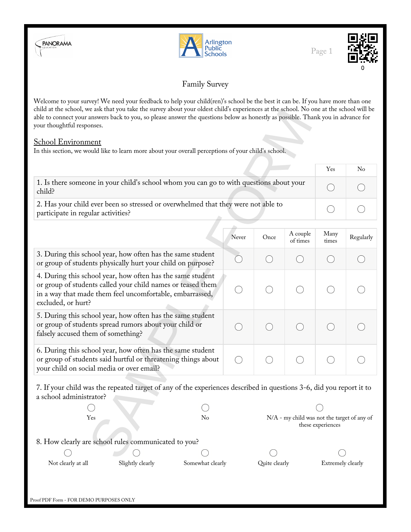





# Family Survey

Welcome to your survey! We need your feedback to help your child(ren)'s school be the best it can be. If you have more than one child at the school, we ask that you take the survey about your oldest child's experiences at the school. No one at the school will be able to connect your answers back to you, so please answer the questions below as honestly as possible. Thank you in advance for your thoughtful responses.

### School Environment

|                                                                                                                         | Yes | No |
|-------------------------------------------------------------------------------------------------------------------------|-----|----|
| 1. Is there someone in your child's school whom you can go to with questions about your<br>child?                       |     |    |
| 2. Has your child ever been so stressed or overwhelmed that they were not able to<br>participate in regular activities? |     |    |

| child at the school, we ask that you take the survey about your oldest child's experiences at the school. No one at the school will be<br>able to connect your answers back to you, so please answer the questions below as honestly as possible. Thank you in advance for<br>your thoughtful responses. |        |                                                                  |      |                      |                 |           |
|----------------------------------------------------------------------------------------------------------------------------------------------------------------------------------------------------------------------------------------------------------------------------------------------------------|--------|------------------------------------------------------------------|------|----------------------|-----------------|-----------|
| <b>School Environment</b>                                                                                                                                                                                                                                                                                |        |                                                                  |      |                      |                 |           |
| In this section, we would like to learn more about your overall perceptions of your child's school.                                                                                                                                                                                                      |        |                                                                  |      |                      |                 |           |
|                                                                                                                                                                                                                                                                                                          |        |                                                                  |      |                      | Yes             | No        |
| 1. Is there someone in your child's school whom you can go to with questions about your<br>child?                                                                                                                                                                                                        | $(\ )$ |                                                                  |      |                      |                 |           |
| 2. Has your child ever been so stressed or overwhelmed that they were not able to<br>participate in regular activities?                                                                                                                                                                                  | $(\ )$ |                                                                  |      |                      |                 |           |
|                                                                                                                                                                                                                                                                                                          |        | Never                                                            | Once | A couple<br>of times | Many<br>times   | Regularly |
| 3. During this school year, how often has the same student<br>or group of students physically hurt your child on purpose?                                                                                                                                                                                |        |                                                                  |      | $(\ )$               |                 |           |
| 4. During this school year, how often has the same student<br>or group of students called your child names or teased them<br>in a way that made them feel uncomfortable, embarrassed,<br>excluded, or hurt?                                                                                              |        |                                                                  |      |                      |                 |           |
| 5. During this school year, how often has the same student<br>or group of students spread rumors about your child or<br>falsely accused them of something?                                                                                                                                               |        | 0                                                                |      |                      |                 |           |
| 6. During this school year, how often has the same student<br>or group of students said hurtful or threatening things about<br>your child on social media or over email?                                                                                                                                 |        | $\bigcirc$                                                       |      | $(\ )$               | $(\phantom{a})$ |           |
| 7. If your child was the repeated target of any of the experiences described in questions 3-6, did you report it to<br>a school administrator?                                                                                                                                                           |        |                                                                  |      |                      |                 |           |
|                                                                                                                                                                                                                                                                                                          |        |                                                                  |      |                      |                 |           |
| Yes                                                                                                                                                                                                                                                                                                      | No     | N/A - my child was not the target of any of<br>these experiences |      |                      |                 |           |
| 8. How clearly are school rules communicated to you?                                                                                                                                                                                                                                                     |        |                                                                  |      |                      |                 |           |
|                                                                                                                                                                                                                                                                                                          |        |                                                                  |      |                      |                 |           |

Yes No N/A - my child was not the target of any of these experiences 8. How clearly are school rules communicated to you?  $\left( \begin{array}{c} \cdot \end{array} \right)$ Not clearly at all Slightly clearly Somewhat clearly Quite clearly Extremely clearly Extremely clearly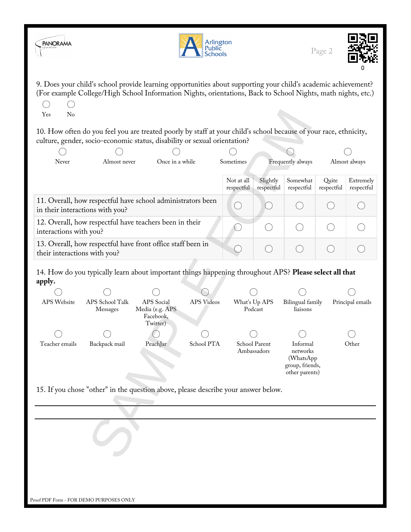| <b>PANORAMA</b>              | Arlington<br>Public<br><b>Schools</b>                                                                                                                                                                                          |                                                        |            |                          |                        |                                                                         | Page 2              |                         |
|------------------------------|--------------------------------------------------------------------------------------------------------------------------------------------------------------------------------------------------------------------------------|--------------------------------------------------------|------------|--------------------------|------------------------|-------------------------------------------------------------------------|---------------------|-------------------------|
| No<br>Yes                    | 9. Does your child's school provide learning opportunities about supporting your child's academic achievement?<br>(For example College/High School Information Nights, orientations, Back to School Nights, math nights, etc.) |                                                        |            |                          |                        |                                                                         |                     |                         |
|                              | 10. How often do you feel you are treated poorly by staff at your child's school because of your race, ethnicity,<br>culture, gender, socio-economic status, disability or sexual orientation?                                 |                                                        |            |                          |                        |                                                                         |                     |                         |
|                              |                                                                                                                                                                                                                                |                                                        |            |                          |                        |                                                                         |                     |                         |
| Never                        | Almost never                                                                                                                                                                                                                   | Once in a while                                        |            | Sometimes                |                        | Frequently always                                                       |                     | Almost always           |
|                              |                                                                                                                                                                                                                                |                                                        |            |                          |                        |                                                                         |                     |                         |
|                              |                                                                                                                                                                                                                                |                                                        |            | Not at all<br>respectful | Slightly<br>respectful | Somewhat<br>respectful                                                  | Quite<br>respectful | Extremely<br>respectful |
|                              | 11. Overall, how respectful have school administrators been<br>in their interactions with you?                                                                                                                                 |                                                        |            |                          |                        | $(\quad)$                                                               |                     |                         |
| interactions with you?       | 12. Overall, how respectful have teachers been in their                                                                                                                                                                        |                                                        |            | ( )                      |                        | $(\ )$                                                                  |                     |                         |
| their interactions with you? | 13. Overall, how respectful have front office staff been in                                                                                                                                                                    |                                                        |            |                          | $(\quad)$              | $\left( \quad \right)$                                                  |                     |                         |
| apply.                       | 14. How do you typically learn about important things happening throughout APS? Please select all that                                                                                                                         |                                                        |            |                          |                        |                                                                         |                     |                         |
|                              |                                                                                                                                                                                                                                |                                                        |            |                          |                        |                                                                         |                     |                         |
| APS Website                  | APS School Talk<br>Messages                                                                                                                                                                                                    | APS Social<br>Media (e.g. APS<br>Facebook,<br>Twitter) | APS Videos | What's Up APS<br>Podcast |                        | Bilingual family<br>liaisons                                            |                     | Principal emails        |
|                              |                                                                                                                                                                                                                                |                                                        |            |                          |                        |                                                                         |                     |                         |
| Teacher emails               | School PTA<br>Backpack mail<br>PeachJar<br>School Parent<br>Ambassadors                                                                                                                                                        |                                                        |            |                          |                        | Informal<br>networks<br>(WhatsApp)<br>group, friends,<br>other parents) |                     | Other                   |
|                              | 15. If you chose "other" in the question above, please describe your answer below.                                                                                                                                             |                                                        |            |                          |                        |                                                                         |                     |                         |
|                              |                                                                                                                                                                                                                                |                                                        |            |                          |                        |                                                                         |                     |                         |
|                              |                                                                                                                                                                                                                                |                                                        |            |                          |                        |                                                                         |                     |                         |
|                              | Proof PDF Form - FOR DEMO PURPOSES ONLY                                                                                                                                                                                        |                                                        |            |                          |                        |                                                                         |                     |                         |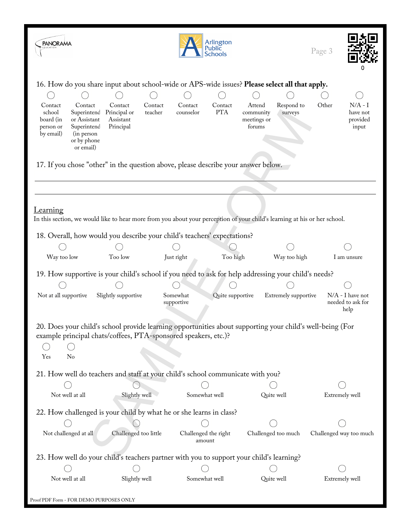| <b>PANORAMA</b>                                                                                                                                             |                                                                                                                                                                              |                                | Arlington<br>Public<br>Schools |                                              |                       | Page 3 |                                                 |
|-------------------------------------------------------------------------------------------------------------------------------------------------------------|------------------------------------------------------------------------------------------------------------------------------------------------------------------------------|--------------------------------|--------------------------------|----------------------------------------------|-----------------------|--------|-------------------------------------------------|
|                                                                                                                                                             | 16. How do you share input about school-wide or APS-wide issues? Please select all that apply.                                                                               |                                |                                |                                              |                       |        |                                                 |
| Contact<br>Contact<br>school<br>Superintenc<br>or Assistant<br>board (in<br>Superintenc<br>person or<br>by email)<br>(in person<br>or by phone<br>or email) | Contact<br>Contact<br>Principal or<br>teacher<br>Assistant<br>Principal                                                                                                      | Contact<br>counselor           | Contact<br><b>PTA</b>          | Attend<br>community<br>meetings or<br>forums | Respond to<br>surveys | Other  | N/A - I<br>have not<br>provided<br>input        |
|                                                                                                                                                             | 17. If you chose "other" in the question above, please describe your answer below.                                                                                           |                                |                                |                                              |                       |        |                                                 |
| <b>Learning</b>                                                                                                                                             | In this section, we would like to hear more from you about your perception of your child's learning at his or her school.                                                    |                                |                                |                                              |                       |        |                                                 |
|                                                                                                                                                             | 18. Overall, how would you describe your child's teachers' expectations?                                                                                                     |                                |                                |                                              |                       |        |                                                 |
| Way too low                                                                                                                                                 | Too low                                                                                                                                                                      | Just right                     | Too high                       |                                              | Way too high          |        | I am unsure                                     |
|                                                                                                                                                             |                                                                                                                                                                              |                                |                                |                                              |                       |        |                                                 |
|                                                                                                                                                             | 19. How supportive is your child's school if you need to ask for help addressing your child's needs?                                                                         |                                |                                |                                              |                       |        |                                                 |
|                                                                                                                                                             |                                                                                                                                                                              |                                |                                |                                              |                       |        |                                                 |
| Not at all supportive                                                                                                                                       | Slightly supportive                                                                                                                                                          | Somewhat<br>supportive         | Quite supportive               |                                              | Extremely supportive  |        | $N/A$ - I have not<br>needed to ask for<br>help |
| Yes<br>No                                                                                                                                                   | 20. Does your child's school provide learning opportunities about supporting your child's well-being (For<br>example principal chats/coffees, PTA-sponsored speakers, etc.)? |                                |                                |                                              |                       |        |                                                 |
|                                                                                                                                                             | 21. How well do teachers and staff at your child's school communicate with you?                                                                                              |                                |                                |                                              |                       |        |                                                 |
|                                                                                                                                                             |                                                                                                                                                                              |                                |                                |                                              |                       |        |                                                 |
| Not well at all                                                                                                                                             | Slightly well                                                                                                                                                                | Somewhat well                  |                                |                                              | Quite well            |        | Extremely well                                  |
|                                                                                                                                                             | 22. How challenged is your child by what he or she learns in class?                                                                                                          |                                |                                |                                              |                       |        |                                                 |
|                                                                                                                                                             |                                                                                                                                                                              |                                |                                |                                              |                       |        |                                                 |
| Not challenged at all                                                                                                                                       | Challenged too little                                                                                                                                                        | Challenged the right<br>amount |                                |                                              | Challenged too much   |        | Challenged way too much                         |
|                                                                                                                                                             | 23. How well do your child's teachers partner with you to support your child's learning?                                                                                     |                                |                                |                                              |                       |        |                                                 |
|                                                                                                                                                             |                                                                                                                                                                              |                                |                                |                                              |                       |        |                                                 |
| Not well at all                                                                                                                                             | Slightly well                                                                                                                                                                | Somewhat well                  |                                |                                              | Quite well            |        | Extremely well                                  |
| Proof PDF Form - FOR DEMO PURPOSES ONLY                                                                                                                     |                                                                                                                                                                              |                                |                                |                                              |                       |        |                                                 |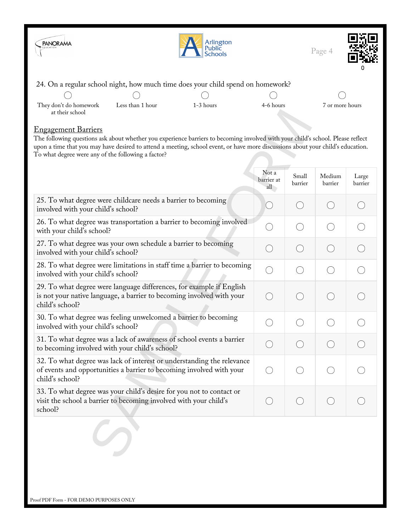

### 24. On a regular school night, how much time does your child spend on homework?

| _                                         | --               |           |           |                 |
|-------------------------------------------|------------------|-----------|-----------|-----------------|
|                                           |                  |           |           |                 |
| They don't do homework<br>at their school | Less than 1 hour | 1-3 hours | 4-6 hours | 7 or more hours |
|                                           |                  |           |           |                 |

0

#### Engagement Barriers

| at their school<br><u>Engagement Barriers</u>                                                                                                                                                                                                                                                                            |                            |                  |                   |                  |
|--------------------------------------------------------------------------------------------------------------------------------------------------------------------------------------------------------------------------------------------------------------------------------------------------------------------------|----------------------------|------------------|-------------------|------------------|
| The following questions ask about whether you experience barriers to becoming involved with your child's school. Please reflect<br>upon a time that you may have desired to attend a meeting, school event, or have more discussions about your child's education.<br>To what degree were any of the following a factor? |                            |                  |                   |                  |
|                                                                                                                                                                                                                                                                                                                          | Not a<br>barrier at<br>all | Small<br>barrier | Medium<br>barrier | Large<br>barrier |
| 25. To what degree were childcare needs a barrier to becoming<br>involved with your child's school?                                                                                                                                                                                                                      | $\left(\right)$            | $\bigcirc$       |                   |                  |
| 26. To what degree was transportation a barrier to becoming involved<br>with your child's school?                                                                                                                                                                                                                        | $(\ )$                     | $(\ )$           |                   |                  |
| 27. To what degree was your own schedule a barrier to becoming<br>involved with your child's school?                                                                                                                                                                                                                     | ( )                        | $\bigcirc$       | $($ )             |                  |
| 28. To what degree were limitations in staff time a barrier to becoming<br>involved with your child's school?                                                                                                                                                                                                            | ∩                          | ∩                | $($ )             |                  |
| 29. To what degree were language differences, for example if English<br>is not your native language, a barrier to becoming involved with your<br>child's school?                                                                                                                                                         | $(\ )$                     | $\bigcirc$       | $( \ )$           |                  |
| 30. To what degree was feeling unwelcomed a barrier to becoming<br>involved with your child's school?                                                                                                                                                                                                                    | ∩                          | ∩                | $( \ )$           |                  |
| 31. To what degree was a lack of awareness of school events a barrier<br>to becoming involved with your child's school?                                                                                                                                                                                                  | $(\ )$                     | $\bigcirc$       | $($ )             |                  |
| 32. To what degree was lack of interest or understanding the relevance<br>of events and opportunities a barrier to becoming involved with your<br>child's school?                                                                                                                                                        | $(\ )$                     | $(\ )$           |                   |                  |
| 33. To what degree was your child's desire for you not to contact or<br>visit the school a barrier to becoming involved with your child's<br>school?                                                                                                                                                                     |                            | $(\ )$           |                   |                  |
|                                                                                                                                                                                                                                                                                                                          |                            |                  |                   |                  |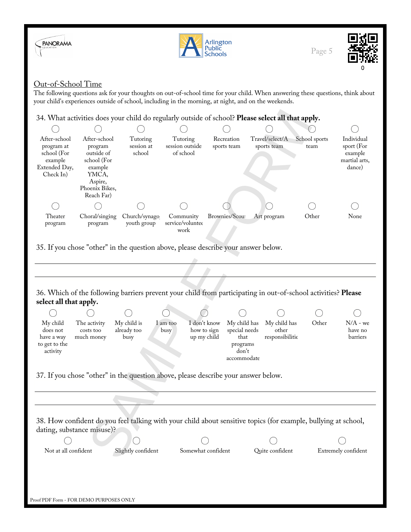





## Out-of-School Time

The following questions ask for your thoughts on out-of-school time for your child. When answering these questions, think about your child's experiences outside of school, including in the morning, at night, and on the weekends.

## 34. What activities does your child do regularly outside of school? **Please select all that apply.**

| After-school<br>program at<br>school (For<br>example | After-school<br>program<br>outside of<br>school (For | Tutoring<br>session at<br>school | Tutoring<br>session outside<br>of school | Recreation<br>sports team | Travel/select/A<br>sports team | School sports<br>team | Individual<br>sport (For<br>example<br>martial arts, |
|------------------------------------------------------|------------------------------------------------------|----------------------------------|------------------------------------------|---------------------------|--------------------------------|-----------------------|------------------------------------------------------|
| Extended Day,                                        | example                                              |                                  |                                          |                           |                                |                       | dance)                                               |
| Check In)                                            | YMCA.                                                |                                  |                                          |                           |                                |                       |                                                      |
|                                                      | Aspire,<br>Phoenix Bikes,<br>Reach Far)              |                                  |                                          |                           |                                |                       |                                                      |
|                                                      |                                                      |                                  |                                          |                           |                                |                       |                                                      |
| Theater<br>program                                   | Choral/singing<br>program                            | Church/synago<br>youth group     | Community<br>service/voluntee<br>work    | Brownies/Scout            | Art program                    | Other                 | None                                                 |

35. If you chose "other" in the question above, please describe your answer below.

# SAMPLE FORM36. Which of the following barriers prevent your child from participating in out-of-school activities? **Please select all that apply.**  $( \ )$ ⌒ My child The activity My child is I don't know My child has My child has Other N/A - we I am too special needs does not costs too already too busy how to sign other have no up my child responsibilitie barriers have a way much money busy that to get to the programs don't activity accommodate 37. If you chose "other" in the question above, please describe your answer below.

38. How confident do you feel talking with your child about sensitive topics (for example, bullying at school, dating, substance misuse)?

Not at all confident Slightly confident Somewhat confident Quite confident Extremely confident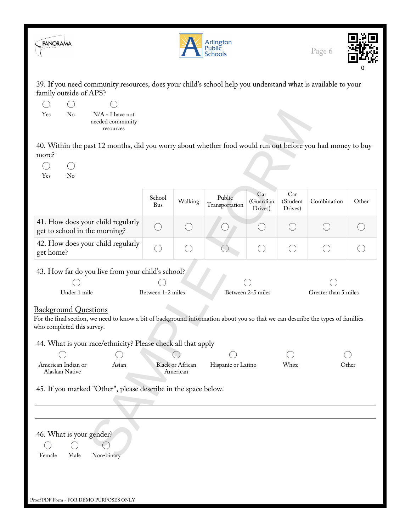

45. If you marked "Other", please describe in the space below.

46. What is your gender?  $\left(\begin{array}{c}\right)$  $( \ )$ Female Male Non-binary Proof PDF Form - FOR DEMO PURPOSES ONLY